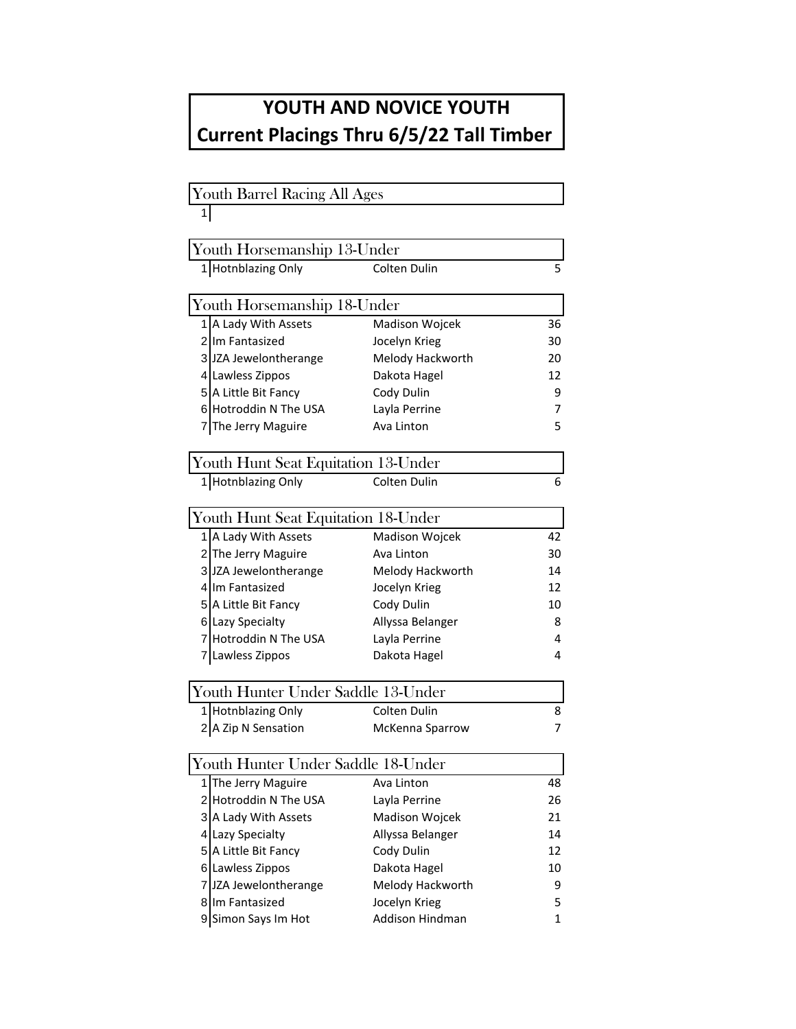## **YOUTH AND NOVICE YOUTH Current Placings Thru 6/5/22 Tall Timber**

## Youth Barrel Racing All Ages 1 Youth Horsemanship 13-Under 1 Hotnblazing Only Colten Dulin 5 Youth Horsemanship 18-Under 1 A Lady With Assets Madison Wojcek 36 2 Im Fantasized Socelyn Krieg 30 3 JZA Jewelontherange Melody Hackworth 20 4 Lawless Zippos **Dakota Hagel** 12 5 A Little Bit Fancy Cody Dulin 9 6 Hotroddin N The USA Layla Perrine 7 7 The Jerry Maguire **Ava Linton** 5 Youth Hunt Seat Equitation 13-Under 1 Hotnblazing Only Colten Dulin 6 Youth Hunt Seat Equitation 18-Under 1 A Lady With Assets Madison Wojcek 42

| 2 The Jerry Maguire   | Ava Linton       | 30 |
|-----------------------|------------------|----|
| 3 JZA Jewelontherange | Melody Hackworth | 14 |
| 4 Im Fantasized       | Jocelyn Krieg    | 12 |
| 5 A Little Bit Fancy  | Cody Dulin       | 10 |
| 6 Lazy Specialty      | Allyssa Belanger | 8  |
| 7 Hotroddin N The USA | Layla Perrine    | 4  |
| 7 Lawless Zippos      | Dakota Hagel     | 4  |
|                       |                  |    |

| Youth Hunter Under Saddle 13-Under |                        |  |  |  |
|------------------------------------|------------------------|--|--|--|
| 1 Hotnblazing Only                 | Colten Dulin           |  |  |  |
|                                    | <b>McKenna Sparrow</b> |  |  |  |
| 2 A Zip N Sensation                |                        |  |  |  |

| Youth Hunter Under Saddle 18-Under |                  |    |  |  |
|------------------------------------|------------------|----|--|--|
| 1 The Jerry Maguire                | Ava Linton       | 48 |  |  |
| 2 Hotroddin N The USA              | Layla Perrine    | 26 |  |  |
| 3 A Lady With Assets               | Madison Wojcek   | 21 |  |  |
| 4 Lazy Specialty                   | Allyssa Belanger | 14 |  |  |
| 5 A Little Bit Fancy               | Cody Dulin       | 12 |  |  |
| 6 Lawless Zippos                   | Dakota Hagel     | 10 |  |  |
| 7 JZA Jewelontherange              | Melody Hackworth | 9  |  |  |
| Im Fantasized                      | Jocelyn Krieg    | 5  |  |  |
| Simon Says Im Hot                  | Addison Hindman  | 1  |  |  |
|                                    |                  |    |  |  |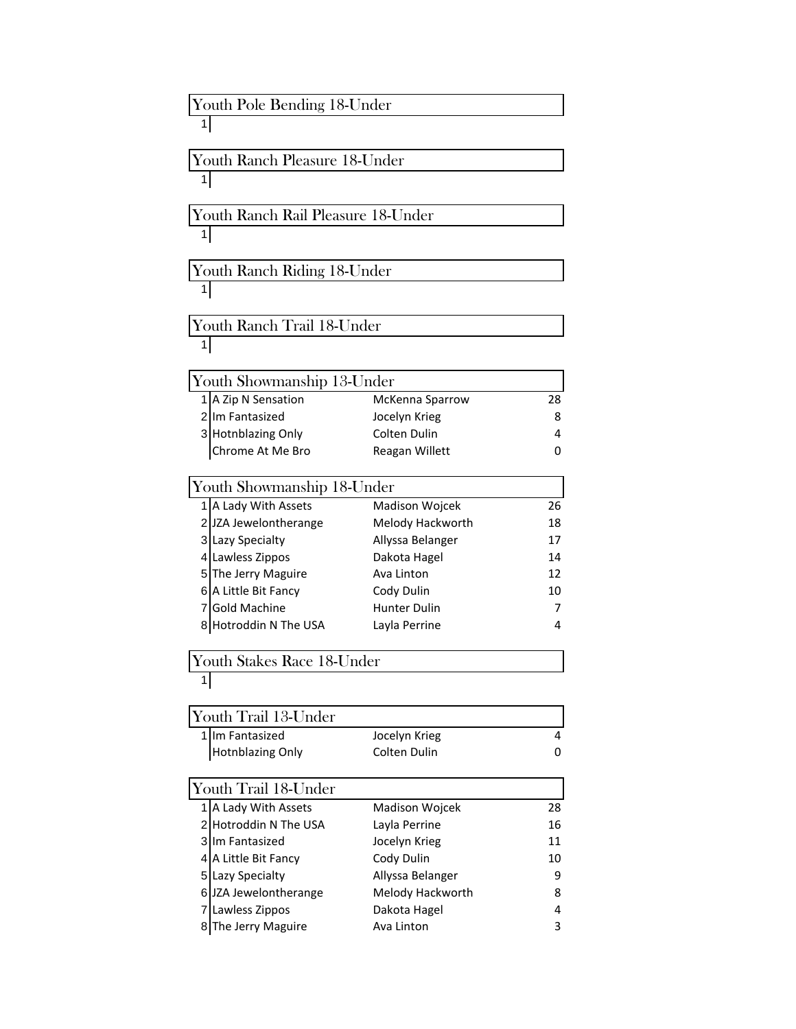| Youth Pole Bending 18-Under |                                    |                  |    |  |
|-----------------------------|------------------------------------|------------------|----|--|
|                             |                                    |                  |    |  |
|                             | Youth Ranch Pleasure 18-Under      |                  |    |  |
| 11                          |                                    |                  |    |  |
|                             | Youth Ranch Rail Pleasure 18-Under |                  |    |  |
| 11                          |                                    |                  |    |  |
|                             | Youth Ranch Riding 18-Under        |                  |    |  |
| 1 <sup>1</sup>              |                                    |                  |    |  |
|                             | Youth Ranch Trail 18-Under         |                  |    |  |
| 1 <sub>1</sub>              |                                    |                  |    |  |
|                             | Youth Showmanship 13-Under         |                  |    |  |
|                             | 1 A Zip N Sensation                | McKenna Sparrow  | 28 |  |
|                             | 2 Im Fantasized                    | Jocelyn Krieg    | 8  |  |
|                             | 3 Hotnblazing Only                 | Colten Dulin     | 4  |  |
|                             | Chrome At Me Bro                   | Reagan Willett   | 0  |  |
|                             | Youth Showmanship 18-Under         |                  |    |  |
|                             | 1 A Lady With Assets               | Madison Wojcek   | 26 |  |
|                             | 2 JZA Jewelontherange              | Melody Hackworth | 18 |  |
|                             | 3 Lazy Specialty                   | Allyssa Belanger | 17 |  |
|                             | 4 Lawless Zippos                   | Dakota Hagel     | 14 |  |
|                             | 5 The Jerry Maguire                | Ava Linton       | 12 |  |
|                             | 6 A Little Bit Fancy               | Cody Dulin       | 10 |  |
|                             | 7 Gold Machine                     | Hunter Dulin     | 7  |  |
|                             | 8 Hotroddin N The USA              | Layla Perrine    | 4  |  |
|                             | Youth Stakes Race 18-Under         |                  |    |  |
| 1 <sub>1</sub>              |                                    |                  |    |  |
|                             | Youth Trail 13-Under               |                  |    |  |
|                             | 1 Im Fantasized                    | Jocelyn Krieg    | 4  |  |
|                             | <b>Hotnblazing Only</b>            | Colten Dulin     | 0  |  |
|                             | Youth Trail 18-Under               |                  |    |  |
|                             | 1 A Lady With Assets               | Madison Wojcek   | 28 |  |
|                             | 2 Hotroddin N The USA              | Layla Perrine    | 16 |  |
|                             | 3 Im Fantasized                    | Jocelyn Krieg    | 11 |  |
|                             | 4 A Little Bit Fancy               | Cody Dulin       | 10 |  |
|                             | 5 Lazy Specialty                   | Allyssa Belanger | 9  |  |
|                             | 6 JZA Jewelontherange              | Melody Hackworth | 8  |  |
|                             | 7 Lawless Zippos                   | Dakota Hagel     | 4  |  |
|                             | 8 The Jerry Maguire                | Ava Linton       | 3  |  |
|                             |                                    |                  |    |  |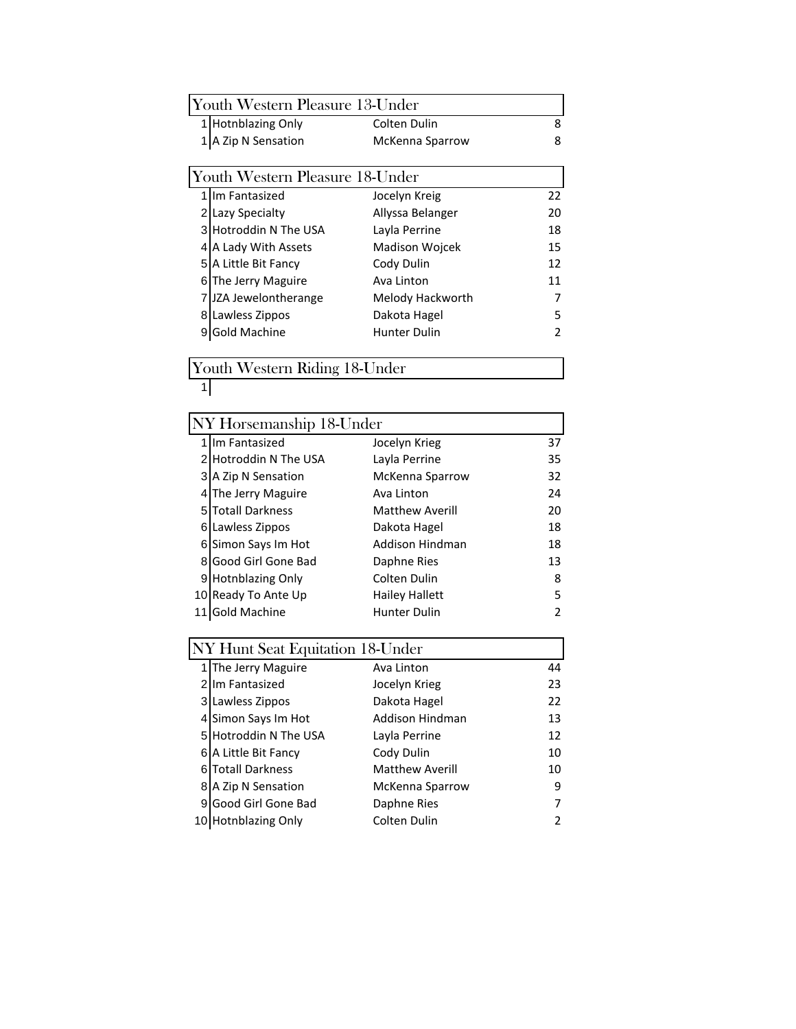| Youth Western Pleasure 13-Under |                                 |                       |    |
|---------------------------------|---------------------------------|-----------------------|----|
|                                 | <b>Hotnblazing Only</b>         | Colten Dulin          | 8  |
|                                 | A Zip N Sensation               | McKenna Sparrow       | 8  |
|                                 |                                 |                       |    |
|                                 | Youth Western Pleasure 18-Under |                       |    |
|                                 | Im Fantasized                   | Jocelyn Kreig         | 22 |
| 2                               | Lazy Specialty                  | Allyssa Belanger      | 20 |
| 3                               | Hotroddin N The USA             | Layla Perrine         | 18 |
| 4                               | A Lady With Assets              | <b>Madison Woicek</b> | 15 |
| 5                               | A Little Bit Fancy              | Cody Dulin            | 12 |
| 6                               | The Jerry Maguire               | Ava Linton            | 11 |
|                                 | JZA Jewelontherange             | Melody Hackworth      | 7  |
| 8                               | Lawless Zippos                  | Dakota Hagel          | 5  |
|                                 | <b>Gold Machine</b>             | <b>Hunter Dulin</b>   | 2  |
|                                 |                                 |                       |    |

Youth Western Riding 18-Under

|   | NY Horsemanship 18-Under |                        |               |  |  |
|---|--------------------------|------------------------|---------------|--|--|
|   | 1 Im Fantasized          | Jocelyn Krieg          | 37            |  |  |
|   | 2 Hotroddin N The USA    | Layla Perrine          | 35            |  |  |
|   | 3 A Zip N Sensation      | McKenna Sparrow        | 32            |  |  |
| 4 | The Jerry Maguire        | Ava Linton             | 24            |  |  |
| 5 | <b>Totall Darkness</b>   | <b>Matthew Averill</b> | 20            |  |  |
| 6 | Lawless Zippos           | Dakota Hagel           | 18            |  |  |
| 6 | Simon Says Im Hot        | Addison Hindman        | 18            |  |  |
| 8 | Good Girl Gone Bad       | Daphne Ries            | 13            |  |  |
| 9 | <b>Hotnblazing Only</b>  | Colten Dulin           | 8             |  |  |
|   | 10 Ready To Ante Up      | Hailey Hallett         | 5             |  |  |
|   | Gold Machine             | Hunter Dulin           | $\mathfrak z$ |  |  |
|   |                          |                        |               |  |  |

| NY Hunt Seat Equitation 18-Under |                        |    |  |  |
|----------------------------------|------------------------|----|--|--|
| 1 The Jerry Maguire              | Ava Linton             | 44 |  |  |
| 2 Im Fantasized                  | Jocelyn Krieg          | 23 |  |  |
| 3 Lawless Zippos                 | Dakota Hagel           | 22 |  |  |
| 4 Simon Says Im Hot              | Addison Hindman        | 13 |  |  |
| 5 Hotroddin N The USA            | Layla Perrine          | 12 |  |  |
| 6 A Little Bit Fancy             | Cody Dulin             | 10 |  |  |
| 6 Totall Darkness                | <b>Matthew Averill</b> | 10 |  |  |
| 8 A Zip N Sensation              | McKenna Sparrow        | 9  |  |  |
| 9 Good Girl Gone Bad             | Daphne Ries            | 7  |  |  |
| 10 Hotnblazing Only              | Colten Dulin           | 2  |  |  |